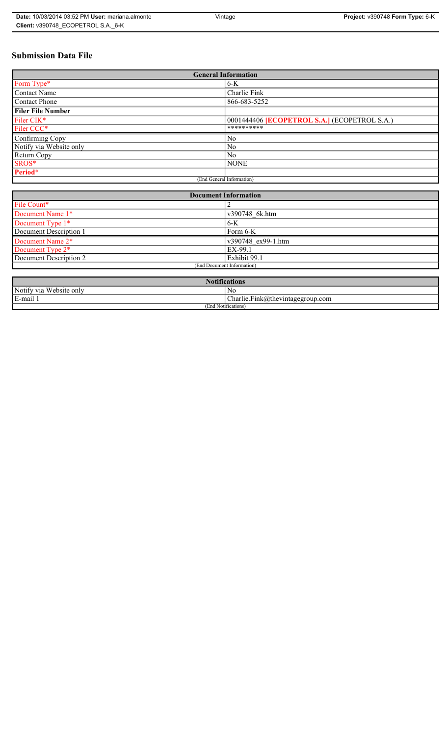# **Submission Data File**

| <b>General Information</b> |                                                   |  |
|----------------------------|---------------------------------------------------|--|
| Form Type*                 | $6-K$                                             |  |
| <b>Contact Name</b>        | Charlie Fink                                      |  |
| <b>Contact Phone</b>       | 866-683-5252                                      |  |
| <b>Filer File Number</b>   |                                                   |  |
| Filer CIK*                 | 0001444406 <b>ECOPETROL S.A.</b> (ECOPETROL S.A.) |  |
| Filer CCC*                 | **********                                        |  |
| Confirming Copy            | No                                                |  |
| Notify via Website only    | N <sub>0</sub>                                    |  |
| Return Copy                | N <sub>0</sub>                                    |  |
| SROS*                      | <b>NONE</b>                                       |  |
| Period*                    |                                                   |  |
| (End General Information)  |                                                   |  |

| <b>Document Information</b> |                    |  |
|-----------------------------|--------------------|--|
| File Count*                 |                    |  |
| Document Name 1*            | v390748 6k.htm     |  |
| Document Type 1*            | $6-K$              |  |
| Document Description 1      | Form 6-K           |  |
| Document Name 2*            | v390748 ex99-1.htm |  |
| Document Type 2*            | EX-99.1            |  |
| Document Description 2      | Exhibit 99.1       |  |
| (End Document Information)  |                    |  |
|                             |                    |  |

| <b>Notifications</b>                       |                                            |  |
|--------------------------------------------|--------------------------------------------|--|
| Website only<br>Notify via                 | N0                                         |  |
| and the search<br>$\blacksquare$<br>E-mail | ~<br>$Charlie.Fink(a)$ thevintagegroup.com |  |
| (End Notifications)                        |                                            |  |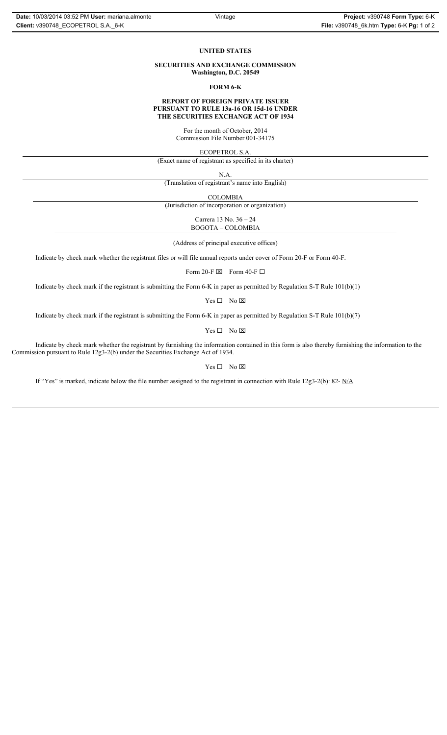#### **UNITED STATES**

**SECURITIES AND EXCHANGE COMMISSION Washington, D.C. 20549**

### **FORM 6-K**

#### **REPORT OF FOREIGN PRIVATE ISSUER PURSUANT TO RULE 13a-16 OR 15d-16 UNDER THE SECURITIES EXCHANGE ACT OF 1934**

For the month of October, 2014 Commission File Number 001-34175

ECOPETROL S.A.

(Exact name of registrant as specified in its charter)

N.A.

(Translation of registrant's name into English)

COLOMBIA

(Jurisdiction of incorporation or organization)

Carrera 13 No. 36 – 24 BOGOTA – COLOMBIA

(Address of principal executive offices)

Indicate by check mark whether the registrant files or will file annual reports under cover of Form 20-F or Form 40-F.

Form 20-F  $\boxtimes$  Form 40-F  $\Box$ 

Indicate by check mark if the registrant is submitting the Form 6-K in paper as permitted by Regulation S-T Rule 101(b)(1)

 $Yes \Box No \boxtimes$ 

Indicate by check mark if the registrant is submitting the Form 6-K in paper as permitted by Regulation S-T Rule 101(b)(7)

 $Yes \Box No \boxtimes$ 

Indicate by check mark whether the registrant by furnishing the information contained in this form is also thereby furnishing the information to the Commission pursuant to Rule 12g3-2(b) under the Securities Exchange Act of 1934.

## $Yes \Box No \boxtimes$

If "Yes" is marked, indicate below the file number assigned to the registrant in connection with Rule 12g3-2(b): 82-  $N/A$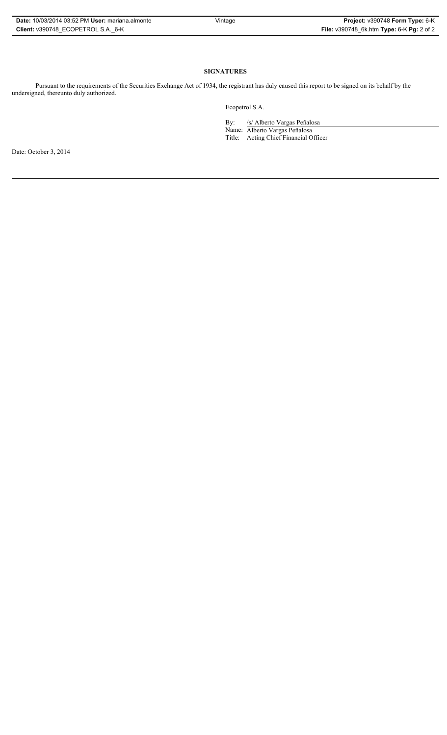| Date: 10/03/2014 03:52 PM User: mariana almonte |
|-------------------------------------------------|
| Client: v390748 ECOPETROL S.A. 6-K              |

## **SIGNATURES**

Pursuant to the requirements of the Securities Exchange Act of 1934, the registrant has duly caused this report to be signed on its behalf by the undersigned, thereunto duly authorized.

Ecopetrol S.A.

By: /s/ Alberto Vargas Peñalosa Name: Alberto Vargas Peñalosa Title: Acting Chief Financial Officer

Date: October 3, 2014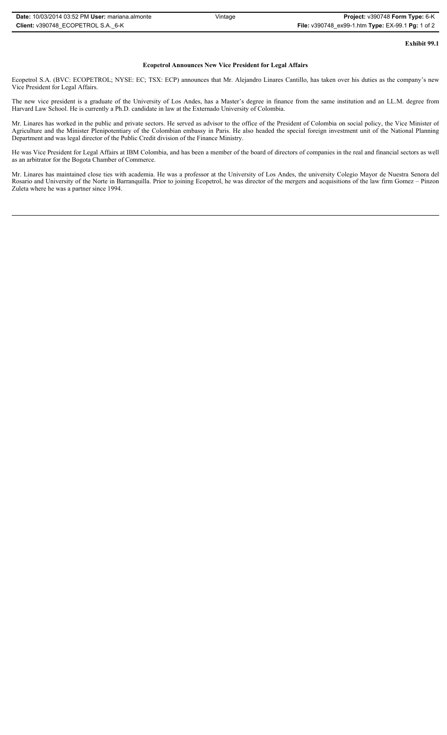| <b>Date: 10/03/2014 03:52 PM User: mariana.almonte</b> | Vintage | Project: v390748 Form Type: 6-K                   |
|--------------------------------------------------------|---------|---------------------------------------------------|
| Client: v390748 ECOPETROL S.A. 6-K                     |         | File: v390748_ex99-1.htm Type: EX-99.1 Pg: 1 of 2 |

**Exhibit 99.1**

### **Ecopetrol Announces New Vice President for Legal Affairs**

Ecopetrol S.A. (BVC: ECOPETROL; NYSE: EC; TSX: ECP) announces that Mr. Alejandro Linares Cantillo, has taken over his duties as the company's new Vice President for Legal Affairs.

The new vice president is a graduate of the University of Los Andes, has a Master's degree in finance from the same institution and an LL.M. degree from Harvard Law School. He is currently a Ph.D. candidate in law at the Externado University of Colombia.

Mr. Linares has worked in the public and private sectors. He served as advisor to the office of the President of Colombia on social policy, the Vice Minister of Agriculture and the Minister Plenipotentiary of the Colombian embassy in Paris. He also headed the special foreign investment unit of the National Planning Department and was legal director of the Public Credit division of the Finance Ministry.

He was Vice President for Legal Affairs at IBM Colombia, and has been a member of the board of directors of companies in the real and financial sectors as well as an arbitrator for the Bogota Chamber of Commerce.

Mr. Linares has maintained close ties with academia. He was a professor at the University of Los Andes, the university Colegio Mayor de Nuestra Senora del Rosario and University of the Norte in Barranquilla. Prior to joining Ecopetrol, he was director of the mergers and acquisitions of the law firm Gomez – Pinzon Zuleta where he was a partner since 1994.